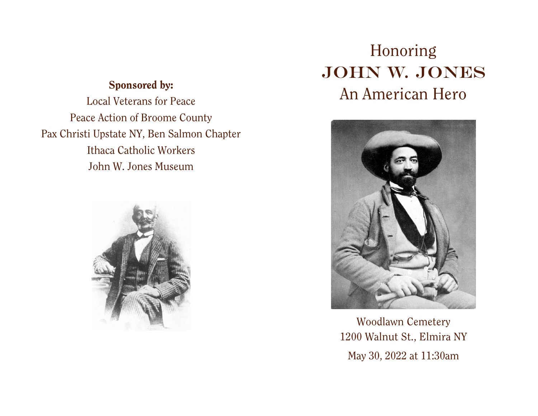### Sponsored by:

Local Veterans for Peace Peace Action of Broome County Pax Christi Upstate NY, Ben Salmon Chapter Ithaca Catholic Workers John W. Jones Museum



# Honoring JOHN W. JONES An American Hero



Woodlawn Cemetery 1200 Walnut St., Elmira NY May 30, 2022 at 11:30am